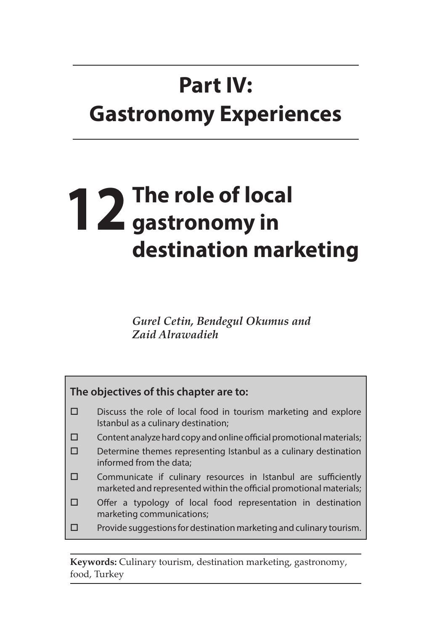# **Part IV: Gastronomy Experiences**

# **12** The role of local gastronomy in **destination marketing**

*Gurel Cetin, Bendegul Okumus and Zaid Alrawadieh* 

## **The objectives of this chapter are to:**   $\square$  Discuss the role of local food in tourism marketing and explore Istanbul as a culinary destination;  $\square$  Content analyze hard copy and online official promotional materials;  $\square$  Determine themes representing Istanbul as a culinary destination informed from the data;  $\square$  Communicate if culinary resources in Istanbul are sufficiently marketed and represented within the official promotional materials; Offer a typology of local food representation in destination marketing communications;  $\square$  Provide suggestions for destination marketing and culinary tourism.

**Keywords:** Culinary tourism, destination marketing, gastronomy, food, Turkey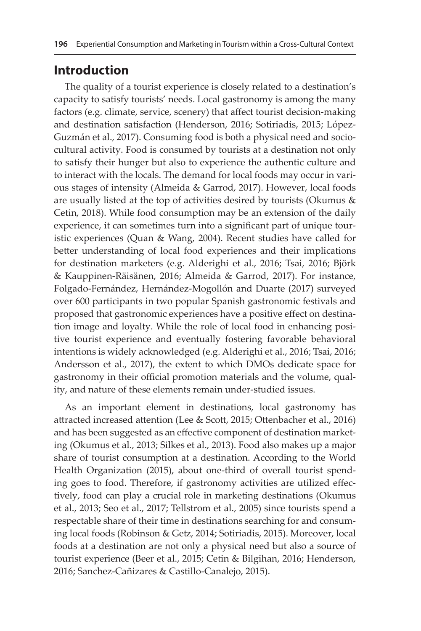#### **Introduction**

The quality of a tourist experience is closely related to a destination's capacity to satisfy tourists' needs. Local gastronomy is among the many factors (e.g. climate, service, scenery) that affect tourist decision-making and destination satisfaction (Henderson, 2016; Sotiriadis, 2015; López-Guzmán et al., 2017). Consuming food is both a physical need and sociocultural activity. Food is consumed by tourists at a destination not only to satisfy their hunger but also to experience the authentic culture and to interact with the locals. The demand for local foods may occur in various stages of intensity (Almeida & Garrod, 2017). However, local foods are usually listed at the top of activities desired by tourists (Okumus & Cetin, 2018). While food consumption may be an extension of the daily experience, it can sometimes turn into a significant part of unique touristic experiences (Quan & Wang, 2004). Recent studies have called for better understanding of local food experiences and their implications for destination marketers (e.g. Alderighi et al., 2016; Tsai, 2016; Björk & Kauppinen-Räisänen, 2016; Almeida & Garrod, 2017). For instance, Folgado-Fernández, Hernández-Mogollón and Duarte (2017) surveyed over 600 participants in two popular Spanish gastronomic festivals and proposed that gastronomic experiences have a positive effect on destination image and loyalty. While the role of local food in enhancing positive tourist experience and eventually fostering favorable behavioral intentions is widely acknowledged (e.g. Alderighi et al., 2016; Tsai, 2016; Andersson et al., 2017), the extent to which DMOs dedicate space for gastronomy in their official promotion materials and the volume, quality, and nature of these elements remain under-studied issues.

As an important element in destinations, local gastronomy has attracted increased attention (Lee & Scott, 2015; Ottenbacher et al., 2016) and has been suggested as an effective component of destination marketing (Okumus et al., 2013; Silkes et al., 2013). Food also makes up a major share of tourist consumption at a destination. According to the World Health Organization (2015), about one-third of overall tourist spending goes to food. Therefore, if gastronomy activities are utilized effectively, food can play a crucial role in marketing destinations (Okumus et al., 2013; Seo et al., 2017; Tellstrom et al., 2005) since tourists spend a respectable share of their time in destinations searching for and consuming local foods (Robinson & Getz, 2014; Sotiriadis, 2015). Moreover, local foods at a destination are not only a physical need but also a source of tourist experience (Beer et al., 2015; Cetin & Bilgihan, 2016; Henderson, 2016; Sanchez-Cañizares & Castillo-Canalejo, 2015).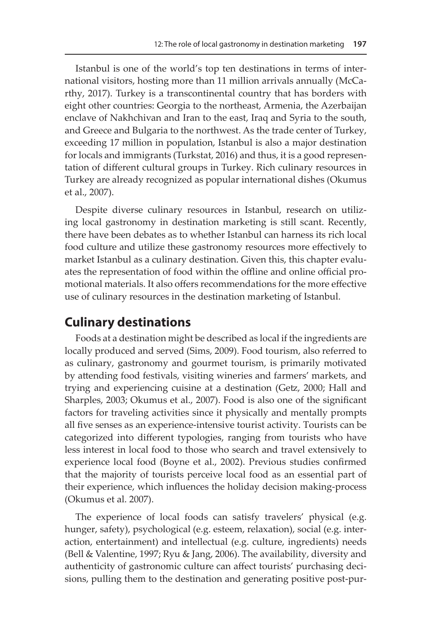Istanbul is one of the world's top ten destinations in terms of international visitors, hosting more than 11 million arrivals annually (McCarthy, 2017). Turkey is a transcontinental country that has borders with eight other countries: Georgia to the northeast, Armenia, the Azerbaijan enclave of Nakhchivan and Iran to the east, Iraq and Syria to the south, and Greece and Bulgaria to the northwest. As the trade center of Turkey, exceeding 17 million in population, Istanbul is also a major destination for locals and immigrants (Turkstat, 2016) and thus, it is a good representation of different cultural groups in Turkey. Rich culinary resources in Turkey are already recognized as popular international dishes (Okumus et al., 2007).

Despite diverse culinary resources in Istanbul, research on utilizing local gastronomy in destination marketing is still scant. Recently, there have been debates as to whether Istanbul can harness its rich local food culture and utilize these gastronomy resources more effectively to market Istanbul as a culinary destination. Given this, this chapter evaluates the representation of food within the offline and online official promotional materials. It also offers recommendations for the more effective use of culinary resources in the destination marketing of Istanbul.

### **Culinary destinations**

Foods at a destination might be described as local if the ingredients are locally produced and served (Sims, 2009). Food tourism, also referred to as culinary, gastronomy and gourmet tourism, is primarily motivated by attending food festivals, visiting wineries and farmers' markets, and trying and experiencing cuisine at a destination (Getz, 2000; Hall and Sharples, 2003; Okumus et al., 2007). Food is also one of the significant factors for traveling activities since it physically and mentally prompts all five senses as an experience-intensive tourist activity. Tourists can be categorized into different typologies, ranging from tourists who have less interest in local food to those who search and travel extensively to experience local food (Boyne et al., 2002). Previous studies confirmed that the majority of tourists perceive local food as an essential part of their experience, which influences the holiday decision making-process (Okumus et al. 2007).

The experience of local foods can satisfy travelers' physical (e.g. hunger, safety), psychological (e.g. esteem, relaxation), social (e.g. interaction, entertainment) and intellectual (e.g. culture, ingredients) needs (Bell & Valentine, 1997; Ryu & Jang, 2006). The availability, diversity and authenticity of gastronomic culture can affect tourists' purchasing decisions, pulling them to the destination and generating positive post-pur